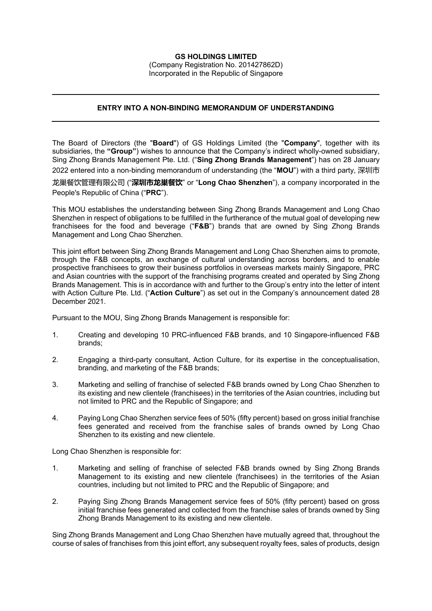## **GS HOLDINGS LIMITED**

(Company Registration No. 201427862D) Incorporated in the Republic of Singapore

## **ENTRY INTO A NON-BINDING MEMORANDUM OF UNDERSTANDING**

The Board of Directors (the "**Board**") of GS Holdings Limited (the "**Company**", together with its subsidiaries, the **"Group"**) wishes to announce that the Company's indirect wholly-owned subsidiary, Sing Zhong Brands Management Pte. Ltd. ("**Sing Zhong Brands Management**") has on 28 January 2022 entered into a non-binding memorandum of understanding (the "**MOU**") with a third party, 深圳市

龙巢餐饮管理有限公司 ("**深圳市龙巢餐饮**" or "**Long Chao Shenzhen**"), a company incorporated in the People's Republic of China ("**PRC**").

This MOU establishes the understanding between Sing Zhong Brands Management and Long Chao Shenzhen in respect of obligations to be fulfilled in the furtherance of the mutual goal of developing new franchisees for the food and beverage ("**F&B**") brands that are owned by Sing Zhong Brands Management and Long Chao Shenzhen.

This joint effort between Sing Zhong Brands Management and Long Chao Shenzhen aims to promote, through the F&B concepts, an exchange of cultural understanding across borders, and to enable prospective franchisees to grow their business portfolios in overseas markets mainly Singapore, PRC and Asian countries with the support of the franchising programs created and operated by Sing Zhong Brands Management. This is in accordance with and further to the Group's entry into the letter of intent with Action Culture Pte. Ltd. ("**Action Culture**") as set out in the Company's announcement dated 28 December 2021.

Pursuant to the MOU, Sing Zhong Brands Management is responsible for:

- 1. Creating and developing 10 PRC-influenced F&B brands, and 10 Singapore-influenced F&B brands;
- 2. Engaging a third-party consultant, Action Culture, for its expertise in the conceptualisation, branding, and marketing of the F&B brands;
- 3. Marketing and selling of franchise of selected F&B brands owned by Long Chao Shenzhen to its existing and new clientele (franchisees) in the territories of the Asian countries, including but not limited to PRC and the Republic of Singapore; and
- 4. Paying Long Chao Shenzhen service fees of 50% (fifty percent) based on gross initial franchise fees generated and received from the franchise sales of brands owned by Long Chao Shenzhen to its existing and new clientele.

Long Chao Shenzhen is responsible for:

- 1. Marketing and selling of franchise of selected F&B brands owned by Sing Zhong Brands Management to its existing and new clientele (franchisees) in the territories of the Asian countries, including but not limited to PRC and the Republic of Singapore; and
- 2. Paying Sing Zhong Brands Management service fees of 50% (fifty percent) based on gross initial franchise fees generated and collected from the franchise sales of brands owned by Sing Zhong Brands Management to its existing and new clientele.

Sing Zhong Brands Management and Long Chao Shenzhen have mutually agreed that, throughout the course of sales of franchises from this joint effort, any subsequent royalty fees, sales of products, design